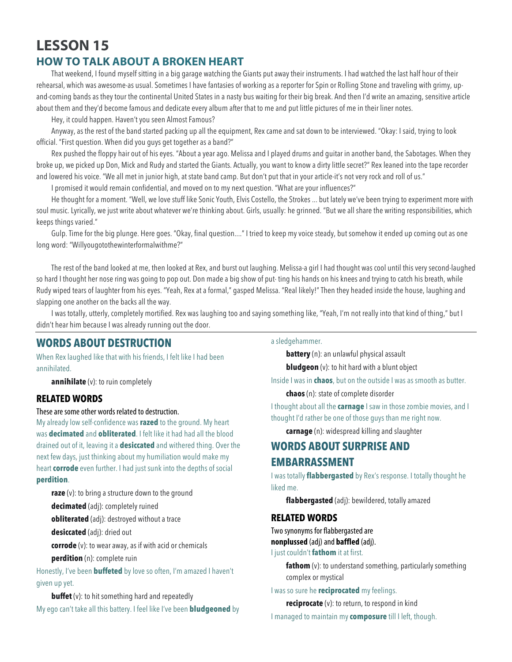# **LESSON 15 HOW TO TALK ABOUT A BROKEN HEART**

That weekend, I found myself sitting in a big garage watching the Giants put away their instruments. I had watched the last half hour of their rehearsal, which was awesome-as usual. Sometimes I have fantasies of working as a reporter for Spin or Rolling Stone and traveling with grimy, upand-coming bands as they tour the continental United States in a nasty bus waiting for their big break. And then I'd write an amazing, sensitive article about them and they'd become famous and dedicate every album after that to me and put little pictures of me in their liner notes.

Hey, it could happen. Haven't you seen Almost Famous?

Anyway, as the rest of the band started packing up all the equipment, Rex came and sat down to be interviewed. "Okay: I said, trying to look official. "First question. When did you guys get together as a band?"

Rex pushed the floppy hair out of his eyes. "About a year ago. Melissa and I played drums and guitar in another band, the Sabotages. When they broke up, we picked up Don, Mick and Rudy and started the Giants. Actually, you want to know a dirty little secret?" Rex leaned into the tape recorder and lowered his voice. "We all met in junior high, at state band camp. But don't put that in your article-it's not very rock and roll of us."

I promised it would remain confidential, and moved on to my next question. "What are your influences?"

He thought for a moment. "Well, we love stuff like Sonic Youth, Elvis Costello, the Strokes ... but lately we've been trying to experiment more with soul music. Lyrically, we just write about whatever we're thinking about. Girls, usually: he grinned. "But we all share the writing responsibilities, which keeps things varied."

Gulp. Time for the big plunge. Here goes. "Okay, final question...." I tried to keep my voice steady, but somehow it ended up coming out as one long word: "Willyougotothewinterformalwithme?"

The rest of the band looked at me, then looked at Rex, and burst out laughing. Melissa-a girl I had thought was cool until this very second-laughed so hard I thought her nose ring was going to pop out. Don made a big show of put-ting his hands on his knees and trying to catch his breath, while Rudy wiped tears of laughter from his eyes. "Yeah, Rex at a formal," gasped Melissa. "Real likely!" Then they headed inside the house, laughing and slapping one another on the backs all the way.

I was totally, utterly, completely mortified. Rex was laughing too and saying something like, "Yeah, I'm not really into that kind of thing," but I didn't hear him because I was already running out the door.

## **WORDS ABOUT DESTRUCTION**

When Rex laughed like that with his friends, I felt like I had been annihilated.

**annihilate** (v): to ruin completely

### **RELATED WORDS**

These are some other words related to destruction.

My already low self-confidence was **razed** to the ground. My heart was **decimated** and **obliterated**. I felt like it had had all the blood drained out of it, leaving it a **desiccated** and withered thing. Over the next few days, just thinking about my humiliation would make my heart **corrode** even further. I had just sunk into the depths of social **perdition**.

**raze** (v): to bring a structure down to the ground **decimated** (adj): completely ruined

**obliterated** (adj): destroyed without a trace

**desiccated** (adj): dried out

**corrode** (v): to wear away, as if with acid or chemicals

**perdition** (n): complete ruin

Honestly, I've been **buffeted** by love so often, I'm amazed I haven't given up yet.

**buffet** (v): to hit something hard and repeatedly

My ego can't take all this battery. I feel like I've been **bludgeoned** by

a sledgehammer.

**battery** (n): an unlawful physical assault **bludgeon** (v): to hit hard with a blunt object

Inside I was in **chaos**, but on the outside I was as smooth as butter.

**chaos** (n): state of complete disorder

I thought about all the **carnage** I saw in those zombie movies, and I thought I'd rather be one of those guys than me right now.

**carnage** (n): widespread killing and slaughter

## **WORDS ABOUT SURPRISE AND**

### **EMBARRASSMENT**

I was totally **flabbergasted** by Rex's response. I totally thought he liked me.

**flabbergasted** (adj): bewildered, totally amazed

### **RELATED WORDS**

Two synonyms for flabbergasted are

**nonplussed** (adj) and **baffled** (adj).

I just couldn't **fathom** it at first.

**fathom** (v): to understand something, particularly something complex or mystical

I was so sure he **reciprocated** my feelings.

**reciprocate** (v): to return, to respond in kind

I managed to maintain my **composure** till I left, though.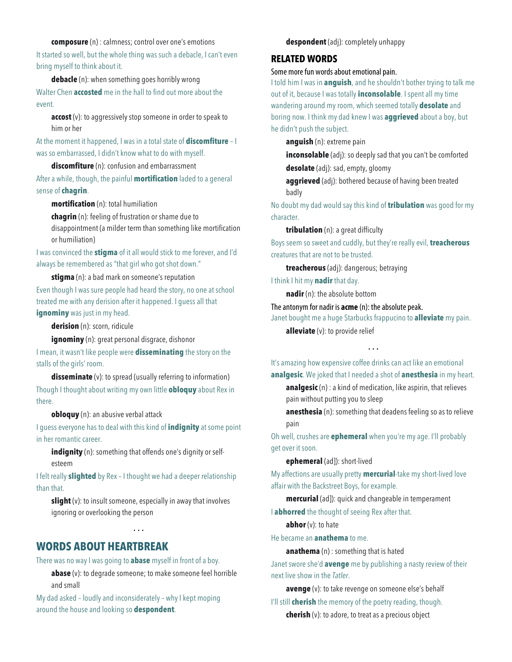**composure** (n) : calmness; control over one's emotions It started so well, but the whole thing was such a debacle, I can't even bring myself to think about it.

**debacle** (n): when something goes horribly wrong Walter Chen **accosted** me in the hall to find out more about the event.

**accost** (v): to aggressively stop someone in order to speak to him or her

At the moment it happened, I was in a total state of **discomfiture** – I was so embarrassed, I didn't know what to do with myself.

#### **discomfiture** (n): confusion and embarrassment

After a while, though, the painful **mortification** laded to a general sense of **chagrin**.

#### **mortification** (n): total humiliation

**chagrin** (n): feeling of frustration or shame due to disappointment (a milder term than something like mortification or humiliation)

I was convinced the **stigma** of it all would stick to me forever, and I'd always be remembered as "that girl who got shot down."

#### **stigma** (n): a bad mark on someone's reputation

Even though I was sure people had heard the story, no one at school treated me with any derision after it happened. I guess all that **ignominy** was just in my head.

**derision** (n): scorn, ridicule

**ignominy** (n): great personal disgrace, dishonor

I mean, it wasn't like people were **disseminating** the story on the stalls of the girls' room.

**disseminate** (v): to spread (usually referring to information) Though I thought about writing my own little **obloquy** about Rex in there.

#### **obloquy** (n): an abusive verbal attack

I guess everyone has to deal with this kind of **indignity** at some point in her romantic career.

**indignity** (n): something that offends one's dignity or selfesteem

I felt really **slighted** by Rex – I thought we had a deeper relationship than that.

**slight** (v): to insult someone, especially in away that involves ignoring or overlooking the person

. . .

## **WORDS ABOUT HEARTBREAK**

There was no way I was going to **abase** myself in front of a boy.

**abase** (v): to degrade someone; to make someone feel horrible and small

My dad asked – loudly and inconsiderately – why I kept moping around the house and looking so **despondent**.

#### **despondent** (adj): completely unhappy

#### **RELATED WORDS**

#### Some more fun words about emotional pain.

I told him I was in **anguish**, and he shouldn't bother trying to talk me out of it, because I was totally **inconsolable**. I spent all my time wandering around my room, which seemed totally **desolate** and boring now. I think my dad knew I was **aggrieved** about a boy, but he didn't push the subject.

**anguish** (n): extreme pain

**inconsolable** (adj): so deeply sad that you can't be comforted

**desolate** (adj): sad, empty, gloomy

**aggrieved** (adj): bothered because of having been treated badly

No doubt my dad would say this kind of **tribulation** was good for my character.

#### **tribulation** (n): a great difficulty

Boys seem so sweet and cuddly, but they're really evil, **treacherous** creatures that are not to be trusted.

**treacherous** (adj): dangerous; betraying

I think I hit my **nadir** that day.

**nadir** (n): the absolute bottom

The antonym for nadir is **acme** (n): the absolute peak.

Janet bought me a huge Starbucks frappucino to **alleviate** my pain.

**alleviate** (v): to provide relief

. . . It's amazing how expensive coffee drinks can act like an emotional

**analgesic**. We joked that I needed a shot of **anesthesia** in my heart.

**analgesic** (n) : a kind of medication, like aspirin, that relieves pain without putting you to sleep

**anesthesia** (n): something that deadens feeling so as to relieve pain

Oh well, crushes are **ephemeral** when you're my age. I'll probably get over it soon.

#### **ephemeral** (ad]): short-lived

My affections are usually pretty **mercurial**-take my short-lived love affair with the Backstreet Boys, for example.

**mercurial** (ad]): quick and changeable in temperament

I **abhorred** the thought of seeing Rex after that.

**abhor** (v): to hate

He became an **anathema** to me.

**anathema** (n) : something that is hated

Janet swore she'd **avenge** me by publishing a nasty review of their next live show in the *Tatler*.

**avenge** (v): to take revenge on someone else's behalf I'll still **cherish** the memory of the poetry reading, though. **cherish** (v): to adore, to treat as a precious object